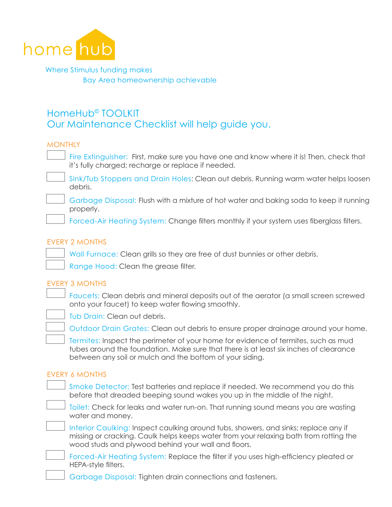

Where Stimulus funding makes Bay Area homeownership achievable

# HomeHub© TOOLKIT Our Maintenance Checklist will help guide you.

## **MONTHLY**

Fire Extinguisher: First, make sure you have one and know where it is! Then, check that it's fully charged; recharge or replace if needed.

Sink/Tub Stoppers and Drain Holes: Clean out debris. Running warm water helps loosen debris.



Garbage Disposal: Flush with a mixture of hot water and baking soda to keep it running properly.

Forced-Air Heating System: Change filters monthly if your system uses fiberglass filters.

#### EVERY 2 MONTHS

Wall Furnace: Clean grills so they are free of dust bunnies or other debris.

Range Hood: Clean the grease filter.

#### EVERY 3 MONTHS

Faucets: Clean debris and mineral deposits out of the aerator (a small screen screwed onto your faucet) to keep water flowing smoothly.



Tub Drain: Clean out debris.

Outdoor Drain Grates: Clean out debris to ensure proper drainage around your home.

Termites: Inspect the perimeter of your home for evidence of termites, such as mud tubes around the foundation. Make sure that there is at least six inches of clearance between any soil or mulch and the bottom of your siding.

#### EVERY 6 MONTHS

|  | Smoke Detector: Test batteries and replace if needed. We recommend you do this<br>before that dreaded beeping sound wakes you up in the middle of the night.                                                                        |
|--|-------------------------------------------------------------------------------------------------------------------------------------------------------------------------------------------------------------------------------------|
|  | Toilet: Check for leaks and water run-on. That running sound means you are wasting<br>water and money.                                                                                                                              |
|  | Interior Caulking: Inspect caulking around tubs, showers, and sinks; replace any if<br>missing or cracking. Caulk helps keeps water from your relaxing bath from rotting the<br>wood studs and plywood behind your wall and floors. |
|  | Forced-Air Heating System: Replace the filter if you uses high-efficiency pleated or<br>HEPA-style filters.                                                                                                                         |
|  | Garbage Disposal: Tighten drain connections and fasteners.                                                                                                                                                                          |